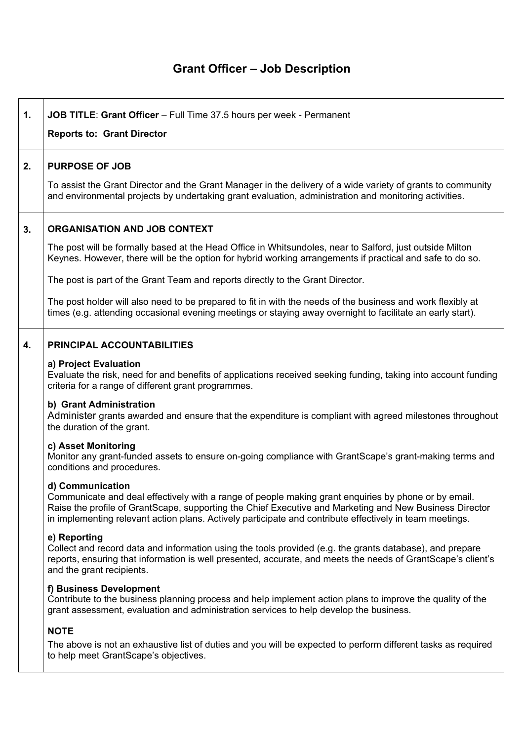## **Grant Officer – Job Description**

| 1. | JOB TITLE: Grant Officer - Full Time 37.5 hours per week - Permanent<br><b>Reports to: Grant Director</b>                                                                                                                                                                                                                                       |  |  |
|----|-------------------------------------------------------------------------------------------------------------------------------------------------------------------------------------------------------------------------------------------------------------------------------------------------------------------------------------------------|--|--|
| 2. | <b>PURPOSE OF JOB</b>                                                                                                                                                                                                                                                                                                                           |  |  |
|    | To assist the Grant Director and the Grant Manager in the delivery of a wide variety of grants to community<br>and environmental projects by undertaking grant evaluation, administration and monitoring activities.                                                                                                                            |  |  |
| 3. | <b>ORGANISATION AND JOB CONTEXT</b>                                                                                                                                                                                                                                                                                                             |  |  |
|    | The post will be formally based at the Head Office in Whitsundoles, near to Salford, just outside Milton<br>Keynes. However, there will be the option for hybrid working arrangements if practical and safe to do so.                                                                                                                           |  |  |
|    | The post is part of the Grant Team and reports directly to the Grant Director.                                                                                                                                                                                                                                                                  |  |  |
|    | The post holder will also need to be prepared to fit in with the needs of the business and work flexibly at<br>times (e.g. attending occasional evening meetings or staying away overnight to facilitate an early start).                                                                                                                       |  |  |
| 4. | PRINCIPAL ACCOUNTABILITIES                                                                                                                                                                                                                                                                                                                      |  |  |
|    | a) Project Evaluation<br>Evaluate the risk, need for and benefits of applications received seeking funding, taking into account funding<br>criteria for a range of different grant programmes.                                                                                                                                                  |  |  |
|    | b) Grant Administration<br>Administer grants awarded and ensure that the expenditure is compliant with agreed milestones throughout<br>the duration of the grant.                                                                                                                                                                               |  |  |
|    | c) Asset Monitoring<br>Monitor any grant-funded assets to ensure on-going compliance with GrantScape's grant-making terms and<br>conditions and procedures.                                                                                                                                                                                     |  |  |
|    | d) Communication<br>Communicate and deal effectively with a range of people making grant enquiries by phone or by email.<br>Raise the profile of GrantScape, supporting the Chief Executive and Marketing and New Business Director<br>in implementing relevant action plans. Actively participate and contribute effectively in team meetings. |  |  |
|    | e) Reporting<br>Collect and record data and information using the tools provided (e.g. the grants database), and prepare<br>reports, ensuring that information is well presented, accurate, and meets the needs of GrantScape's client's<br>and the grant recipients.                                                                           |  |  |
|    | f) Business Development<br>Contribute to the business planning process and help implement action plans to improve the quality of the<br>grant assessment, evaluation and administration services to help develop the business.                                                                                                                  |  |  |
|    | <b>NOTE</b>                                                                                                                                                                                                                                                                                                                                     |  |  |
|    | The above is not an exhaustive list of duties and you will be expected to perform different tasks as required<br>to help meet GrantScape's objectives.                                                                                                                                                                                          |  |  |
|    |                                                                                                                                                                                                                                                                                                                                                 |  |  |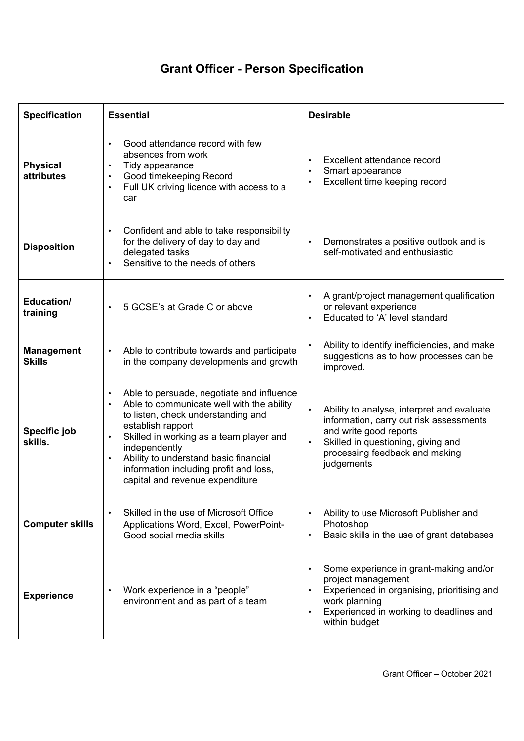## **Grant Officer - Person Specification**

| <b>Specification</b>                 | <b>Essential</b>                                                                                                                                                                                                                                                                                                                                                                        | <b>Desirable</b>                                                                                                                                                                                      |
|--------------------------------------|-----------------------------------------------------------------------------------------------------------------------------------------------------------------------------------------------------------------------------------------------------------------------------------------------------------------------------------------------------------------------------------------|-------------------------------------------------------------------------------------------------------------------------------------------------------------------------------------------------------|
| <b>Physical</b><br><b>attributes</b> | Good attendance record with few<br>absences from work<br>Tidy appearance<br>$\bullet$<br>Good timekeeping Record<br>$\bullet$<br>Full UK driving licence with access to a<br>car                                                                                                                                                                                                        | Excellent attendance record<br>Smart appearance<br>Excellent time keeping record                                                                                                                      |
| <b>Disposition</b>                   | Confident and able to take responsibility<br>$\bullet$<br>for the delivery of day to day and<br>delegated tasks<br>Sensitive to the needs of others                                                                                                                                                                                                                                     | Demonstrates a positive outlook and is<br>$\bullet$<br>self-motivated and enthusiastic                                                                                                                |
| Education/<br>training               | 5 GCSE's at Grade C or above                                                                                                                                                                                                                                                                                                                                                            | A grant/project management qualification<br>or relevant experience<br>Educated to 'A' level standard                                                                                                  |
| <b>Management</b><br><b>Skills</b>   | Able to contribute towards and participate<br>$\bullet$<br>in the company developments and growth                                                                                                                                                                                                                                                                                       | Ability to identify inefficiencies, and make<br>suggestions as to how processes can be<br>improved.                                                                                                   |
| Specific job<br>skills.              | Able to persuade, negotiate and influence<br>$\bullet$<br>Able to communicate well with the ability<br>$\bullet$<br>to listen, check understanding and<br>establish rapport<br>Skilled in working as a team player and<br>$\bullet$<br>independently<br>Ability to understand basic financial<br>$\bullet$<br>information including profit and loss,<br>capital and revenue expenditure | Ability to analyse, interpret and evaluate<br>information, carry out risk assessments<br>and write good reports<br>Skilled in questioning, giving and<br>processing feedback and making<br>judgements |
| <b>Computer skills</b>               | Skilled in the use of Microsoft Office<br>Applications Word, Excel, PowerPoint-<br>Good social media skills                                                                                                                                                                                                                                                                             | Ability to use Microsoft Publisher and<br>Photoshop<br>Basic skills in the use of grant databases                                                                                                     |
| <b>Experience</b>                    | Work experience in a "people"<br>environment and as part of a team                                                                                                                                                                                                                                                                                                                      | Some experience in grant-making and/or<br>project management<br>Experienced in organising, prioritising and<br>work planning<br>Experienced in working to deadlines and<br>within budget              |